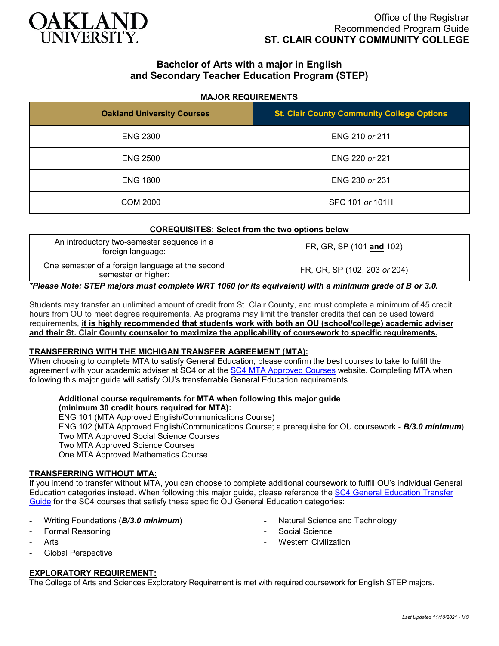

# **Bachelor of Arts with a major in English and Secondary Teacher Education Program (STEP)**

## **MAJOR REQUIREMENTS**

| <b>Oakland University Courses</b> | <b>St. Clair County Community College Options</b> |
|-----------------------------------|---------------------------------------------------|
| <b>ENG 2300</b>                   | ENG 210 or 211                                    |
| <b>ENG 2500</b>                   | ENG 220 or 221                                    |
| <b>ENG 1800</b>                   | ENG 230 or 231                                    |
| COM 2000                          | SPC 101 or 101H                                   |

| <b>COREQUISITES: Select from the two options below</b>                  |                              |
|-------------------------------------------------------------------------|------------------------------|
| An introductory two-semester sequence in a<br>foreign language:         | FR, GR, SP (101 and 102)     |
| One semester of a foreign language at the second<br>semester or higher: | FR, GR, SP (102, 203 or 204) |

*\*Please Note: STEP majors must complete WRT 1060 (or its equivalent) with a minimum grade of B or 3.0.*

Students may transfer an unlimited amount of credit from St. Clair County, and must complete a minimum of 45 credit hours from OU to meet degree requirements. As programs may limit the transfer credits that can be used toward requirements, **it is highly recommended that students work with both an OU (school/college) academic adviser and their St. Clair County counselor to maximize the applicability of coursework to specific requirements.**

## **TRANSFERRING WITH THE MICHIGAN TRANSFER AGREEMENT (MTA):**

When choosing to complete MTA to satisfy General Education, please confirm the best courses to take to fulfill the agreement with your academic adviser at SC4 or at the [SC4 MTA Approved Courses](https://sc4.edu/admissions/transferring-after-sc4/michigan-transfer-agreement/) website. Completing MTA when following this major guide will satisfy OU's transferrable General Education requirements.

#### **Additional course requirements for MTA when following this major guide (minimum 30 credit hours required for MTA):**

ENG 101 (MTA Approved English/Communications Course) ENG 102 (MTA Approved English/Communications Course; a prerequisite for OU coursework - *B/3.0 minimum*) Two MTA Approved Social Science Courses Two MTA Approved Science Courses One MTA Approved Mathematics Course

## **TRANSFERRING WITHOUT MTA:**

If you intend to transfer without MTA, you can choose to complete additional coursework to fulfill OU's individual General Education categories instead. When following this major guide, please reference th[e SC4 General Education Transfer](https://wwwp.oakland.edu/Assets/Oakland/program-guides/st-clair-county-community-college/university-general-education-requirements/SC4%20Gen%20Ed.pdf)  [Guide](https://wwwp.oakland.edu/Assets/Oakland/program-guides/st-clair-county-community-college/university-general-education-requirements/SC4%20Gen%20Ed.pdf) for the SC4 courses that satisfy these specific OU General Education categories:

- Writing Foundations (*B/3.0 minimum*)
- Formal Reasoning
- **Arts**
- Global Perspective

## **EXPLORATORY REQUIREMENT:**

The College of Arts and Sciences Exploratory Requirement is met with required coursework for English STEP majors.

- Natural Science and Technology
- Social Science
- **Western Civilization**